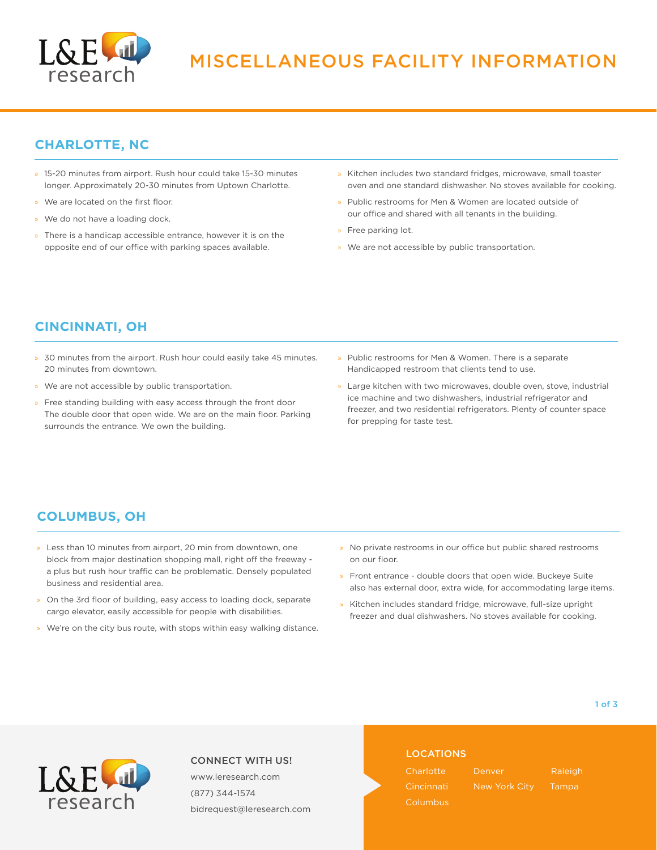

## **CHARLOTTE, NC**

- » 15-20 minutes from airport. Rush hour could take 15-30 minutes longer. Approximately 20-30 minutes from Uptown Charlotte.
- We are located on the first floor.
- We do not have a loading dock.
- There is a handicap accessible entrance, however it is on the opposite end of our office with parking spaces available.
- » Kitchen includes two standard fridges, microwave, small toaster oven and one standard dishwasher. No stoves available for cooking.
- » Public restrooms for Men & Women are located outside of our office and shared with all tenants in the building.
- » Free parking lot.
- » We are not accessible by public transportation.

## **CINCINNATI, OH**

- » 30 minutes from the airport. Rush hour could easily take 45 minutes. 20 minutes from downtown.
- » We are not accessible by public transportation.
- » Free standing building with easy access through the front door The double door that open wide. We are on the main floor. Parking surrounds the entrance. We own the building.
- » Public restrooms for Men & Women. There is a separate Handicapped restroom that clients tend to use.
- » Large kitchen with two microwaves, double oven, stove, industrial ice machine and two dishwashers, industrial refrigerator and freezer, and two residential refrigerators. Plenty of counter space for prepping for taste test.

## **COLUMBUS, OH**

- » Less than 10 minutes from airport, 20 min from downtown, one block from major destination shopping mall, right off the freeway a plus but rush hour traffic can be problematic. Densely populated business and residential area.
- On the 3rd floor of building, easy access to loading dock, separate cargo elevator, easily accessible for people with disabilities.
- » We're on the city bus route, with stops within easy walking distance.
- » No private restrooms in our office but public shared restrooms on our floor.
- » Front entrance double doors that open wide. Buckeye Suite also has external door, extra wide, for accommodating large items.
- » Kitchen includes standard fridge, microwave, full-size upright freezer and dual dishwashers. No stoves available for cooking.



#### CONNECT WITH US!

www.leresearch.com (877) 344-1574 bidrequest@leresearch.com

#### LOCATIONS

**Charlotte** Columbus Denver New York City

Raleigh Tampa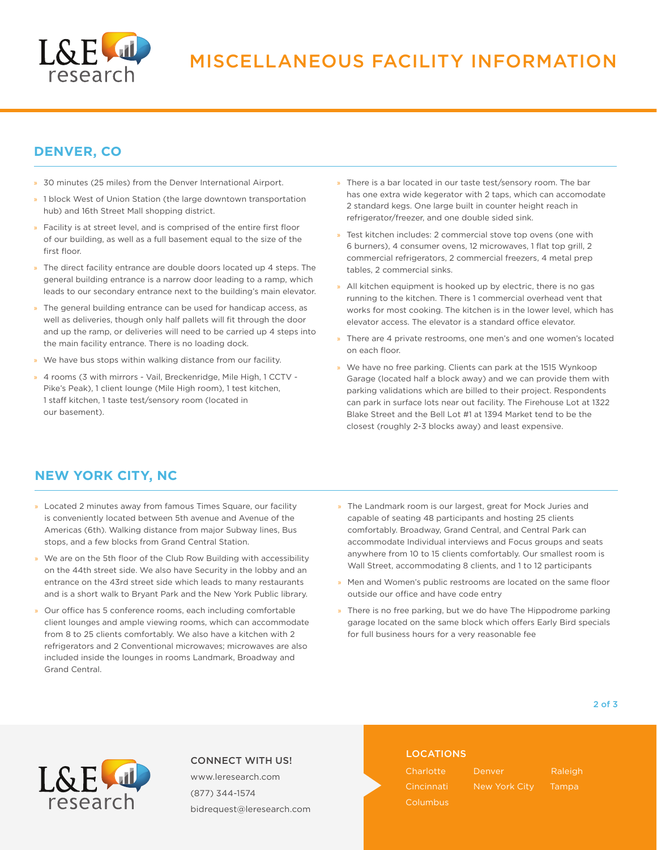

## **DENVER, CO**

- » 30 minutes (25 miles) from the Denver International Airport.
- » 1 block West of Union Station (the large downtown transportation hub) and 16th Street Mall shopping district.
- » Facility is at street level, and is comprised of the entire first floor of our building, as well as a full basement equal to the size of the first floor.
- » The direct facility entrance are double doors located up 4 steps. The general building entrance is a narrow door leading to a ramp, which leads to our secondary entrance next to the building's main elevator.
- The general building entrance can be used for handicap access, as well as deliveries, though only half pallets will fit through the door and up the ramp, or deliveries will need to be carried up 4 steps into the main facility entrance. There is no loading dock.
- We have bus stops within walking distance from our facility.
- » 4 rooms (3 with mirrors Vail, Breckenridge, Mile High, 1 CCTV Pike's Peak), 1 client lounge (Mile High room), 1 test kitchen, 1 staff kitchen, 1 taste test/sensory room (located in our basement).
- » There is a bar located in our taste test/sensory room. The bar has one extra wide kegerator with 2 taps, which can accomodate 2 standard kegs. One large built in counter height reach in refrigerator/freezer, and one double sided sink.
- Test kitchen includes: 2 commercial stove top ovens (one with 6 burners), 4 consumer ovens, 12 microwaves, 1 flat top grill, 2 commercial refrigerators, 2 commercial freezers, 4 metal prep tables, 2 commercial sinks.
- » All kitchen equipment is hooked up by electric, there is no gas running to the kitchen. There is 1 commercial overhead vent that works for most cooking. The kitchen is in the lower level, which has elevator access. The elevator is a standard office elevator.
- » There are 4 private restrooms, one men's and one women's located on each floor.
- » We have no free parking. Clients can park at the 1515 Wynkoop Garage (located half a block away) and we can provide them with parking validations which are billed to their project. Respondents can park in surface lots near out facility. The Firehouse Lot at 1322 Blake Street and the Bell Lot #1 at 1394 Market tend to be the closest (roughly 2-3 blocks away) and least expensive.

## **NEW YORK CITY, NC**

- » Located 2 minutes away from famous Times Square, our facility is conveniently located between 5th avenue and Avenue of the Americas (6th). Walking distance from major Subway lines, Bus stops, and a few blocks from Grand Central Station.
- We are on the 5th floor of the Club Row Building with accessibility on the 44th street side. We also have Security in the lobby and an entrance on the 43rd street side which leads to many restaurants and is a short walk to Bryant Park and the New York Public library.
- » Our office has 5 conference rooms, each including comfortable client lounges and ample viewing rooms, which can accommodate from 8 to 25 clients comfortably. We also have a kitchen with 2 refrigerators and 2 Conventional microwaves; microwaves are also included inside the lounges in rooms Landmark, Broadway and Grand Central.
- » The Landmark room is our largest, great for Mock Juries and capable of seating 48 participants and hosting 25 clients comfortably. Broadway, Grand Central, and Central Park can accommodate Individual interviews and Focus groups and seats anywhere from 10 to 15 clients comfortably. Our smallest room is Wall Street, accommodating 8 clients, and 1 to 12 participants
- » Men and Women's public restrooms are located on the same floor outside our office and have code entry
- » There is no free parking, but we do have The Hippodrome parking garage located on the same block which offers Early Bird specials for full business hours for a very reasonable fee

#### 2 of 3



#### CONNECT WITH US!

www.leresearch.com (877) 344-1574 bidrequest@leresearch.com

#### LOCATIONS

**Charlotte** Columbus Denver New York City **Raleigh Tampa**